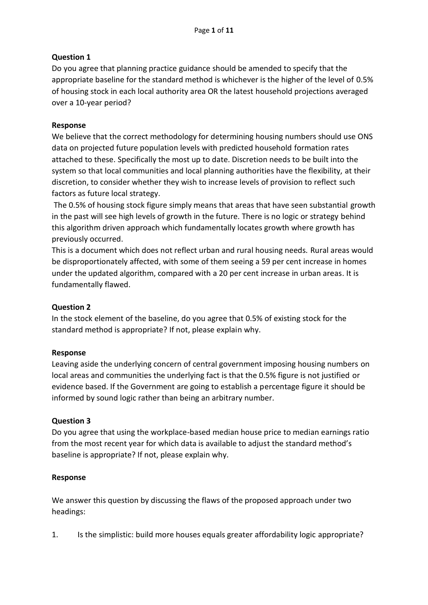# **Question 1**

Do you agree that planning practice guidance should be amended to specify that the appropriate baseline for the standard method is whichever is the higher of the level of 0.5% of housing stock in each local authority area OR the latest household projections averaged over a 10-year period?

# **Response**

We believe that the correct methodology for determining housing numbers should use ONS data on projected future population levels with predicted household formation rates attached to these. Specifically the most up to date. Discretion needs to be built into the system so that local communities and local planning authorities have the flexibility, at their discretion, to consider whether they wish to increase levels of provision to reflect such factors as future local strategy.

The 0.5% of housing stock figure simply means that areas that have seen substantial growth in the past will see high levels of growth in the future. There is no logic or strategy behind this algorithm driven approach which fundamentally locates growth where growth has previously occurred.

This is a document which does not reflect urban and rural housing needs. Rural areas would be disproportionately affected, with some of them seeing a 59 per cent increase in homes under the updated algorithm, compared with a 20 per cent increase in urban areas. It is fundamentally flawed.

# **Question 2**

In the stock element of the baseline, do you agree that 0.5% of existing stock for the standard method is appropriate? If not, please explain why.

## **Response**

Leaving aside the underlying concern of central government imposing housing numbers on local areas and communities the underlying fact is that the 0.5% figure is not justified or evidence based. If the Government are going to establish a percentage figure it should be informed by sound logic rather than being an arbitrary number.

## **Question 3**

Do you agree that using the workplace-based median house price to median earnings ratio from the most recent year for which data is available to adjust the standard method's baseline is appropriate? If not, please explain why.

## **Response**

We answer this question by discussing the flaws of the proposed approach under two headings:

1. Is the simplistic: build more houses equals greater affordability logic appropriate?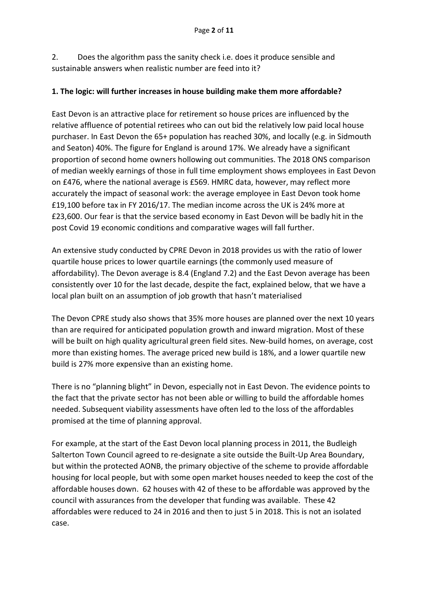2. Does the algorithm pass the sanity check i.e. does it produce sensible and sustainable answers when realistic number are feed into it?

# **1. The logic: will further increases in house building make them more affordable?**

East Devon is an attractive place for retirement so house prices are influenced by the relative affluence of potential retirees who can out bid the relatively low paid local house purchaser. In East Devon the 65+ population has reached 30%, and locally (e.g. in Sidmouth and Seaton) 40%. The figure for England is around 17%. We already have a significant proportion of second home owners hollowing out communities. The 2018 ONS comparison of median weekly earnings of those in full time employment shows employees in East Devon on £476, where the national average is £569. HMRC data, however, may reflect more accurately the impact of seasonal work: the average employee in East Devon took home £19,100 before tax in FY 2016/17. The median income across the UK is 24% more at £23,600. Our fear is that the service based economy in East Devon will be badly hit in the post Covid 19 economic conditions and comparative wages will fall further.

An extensive study conducted by CPRE Devon in 2018 provides us with the ratio of lower quartile house prices to lower quartile earnings (the commonly used measure of affordability). The Devon average is 8.4 (England 7.2) and the East Devon average has been consistently over 10 for the last decade, despite the fact, explained below, that we have a local plan built on an assumption of job growth that hasn't materialised

The Devon CPRE study also shows that 35% more houses are planned over the next 10 years than are required for anticipated population growth and inward migration. Most of these will be built on high quality agricultural green field sites. New-build homes, on average, cost more than existing homes. The average priced new build is 18%, and a lower quartile new build is 27% more expensive than an existing home.

There is no "planning blight" in Devon, especially not in East Devon. The evidence points to the fact that the private sector has not been able or willing to build the affordable homes needed. Subsequent viability assessments have often led to the loss of the affordables promised at the time of planning approval.

For example, at the start of the East Devon local planning process in 2011, the Budleigh Salterton Town Council agreed to re-designate a site outside the Built-Up Area Boundary, but within the protected AONB, the primary objective of the scheme to provide affordable housing for local people, but with some open market houses needed to keep the cost of the affordable houses down. 62 houses with 42 of these to be affordable was approved by the council with assurances from the developer that funding was available. These 42 affordables were reduced to 24 in 2016 and then to just 5 in 2018. This is not an isolated case.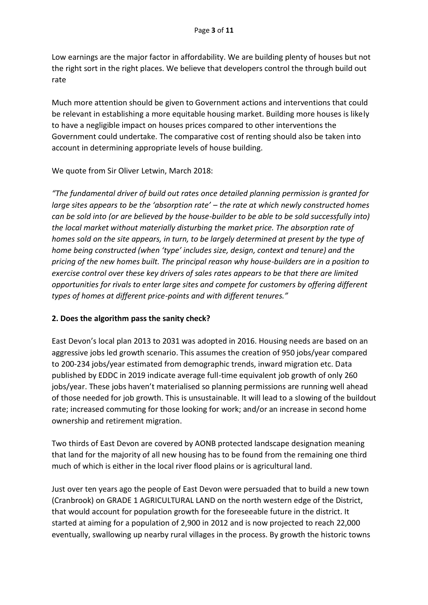Low earnings are the major factor in affordability. We are building plenty of houses but not the right sort in the right places. We believe that developers control the through build out rate

Much more attention should be given to Government actions and interventions that could be relevant in establishing a more equitable housing market. Building more houses is likely to have a negligible impact on houses prices compared to other interventions the Government could undertake. The comparative cost of renting should also be taken into account in determining appropriate levels of house building.

We quote from Sir Oliver Letwin, March 2018:

*"The fundamental driver of build out rates once detailed planning permission is granted for large sites appears to be the 'absorption rate' – the rate at which newly constructed homes can be sold into (or are believed by the house-builder to be able to be sold successfully into) the local market without materially disturbing the market price. The absorption rate of homes sold on the site appears, in turn, to be largely determined at present by the type of home being constructed (when 'type' includes size, design, context and tenure) and the pricing of the new homes built. The principal reason why house-builders are in a position to exercise control over these key drivers of sales rates appears to be that there are limited opportunities for rivals to enter large sites and compete for customers by offering different types of homes at different price-points and with different tenures."*

## **2. Does the algorithm pass the sanity check?**

East Devon's local plan 2013 to 2031 was adopted in 2016. Housing needs are based on an aggressive jobs led growth scenario. This assumes the creation of 950 jobs/year compared to 200-234 jobs/year estimated from demographic trends, inward migration etc. Data published by EDDC in 2019 indicate average full-time equivalent job growth of only 260 jobs/year. These jobs haven't materialised so planning permissions are running well ahead of those needed for job growth. This is unsustainable. It will lead to a slowing of the buildout rate; increased commuting for those looking for work; and/or an increase in second home ownership and retirement migration.

Two thirds of East Devon are covered by AONB protected landscape designation meaning that land for the majority of all new housing has to be found from the remaining one third much of which is either in the local river flood plains or is agricultural land.

Just over ten years ago the people of East Devon were persuaded that to build a new town (Cranbrook) on GRADE 1 AGRICULTURAL LAND on the north western edge of the District, that would account for population growth for the foreseeable future in the district. It started at aiming for a population of 2,900 in 2012 and is now projected to reach 22,000 eventually, swallowing up nearby rural villages in the process. By growth the historic towns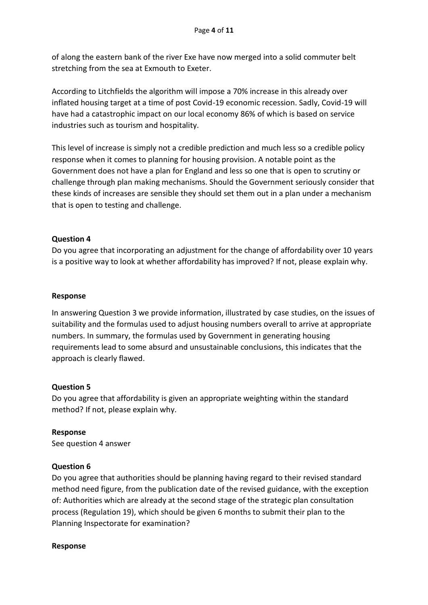of along the eastern bank of the river Exe have now merged into a solid commuter belt stretching from the sea at Exmouth to Exeter.

According to Litchfields the algorithm will impose a 70% increase in this already over inflated housing target at a time of post Covid-19 economic recession. Sadly, Covid-19 will have had a catastrophic impact on our local economy 86% of which is based on service industries such as tourism and hospitality.

This level of increase is simply not a credible prediction and much less so a credible policy response when it comes to planning for housing provision. A notable point as the Government does not have a plan for England and less so one that is open to scrutiny or challenge through plan making mechanisms. Should the Government seriously consider that these kinds of increases are sensible they should set them out in a plan under a mechanism that is open to testing and challenge.

## **Question 4**

Do you agree that incorporating an adjustment for the change of affordability over 10 years is a positive way to look at whether affordability has improved? If not, please explain why.

## **Response**

In answering Question 3 we provide information, illustrated by case studies, on the issues of suitability and the formulas used to adjust housing numbers overall to arrive at appropriate numbers. In summary, the formulas used by Government in generating housing requirements lead to some absurd and unsustainable conclusions, this indicates that the approach is clearly flawed.

## **Question 5**

Do you agree that affordability is given an appropriate weighting within the standard method? If not, please explain why.

**Response** See question 4 answer

## **Question 6**

Do you agree that authorities should be planning having regard to their revised standard method need figure, from the publication date of the revised guidance, with the exception of: Authorities which are already at the second stage of the strategic plan consultation process (Regulation 19), which should be given 6 months to submit their plan to the Planning Inspectorate for examination?

#### **Response**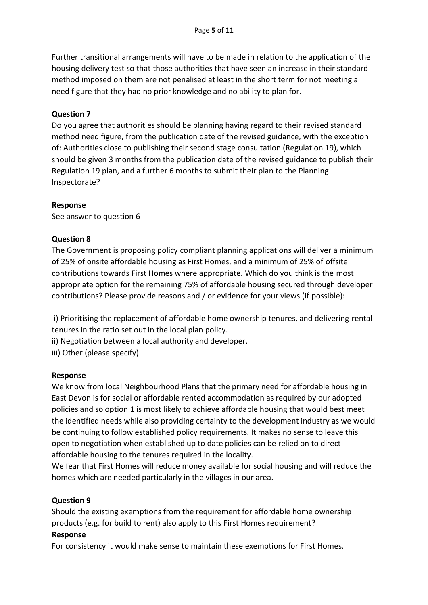Further transitional arrangements will have to be made in relation to the application of the housing delivery test so that those authorities that have seen an increase in their standard method imposed on them are not penalised at least in the short term for not meeting a need figure that they had no prior knowledge and no ability to plan for.

## **Question 7**

Do you agree that authorities should be planning having regard to their revised standard method need figure, from the publication date of the revised guidance, with the exception of: Authorities close to publishing their second stage consultation (Regulation 19), which should be given 3 months from the publication date of the revised guidance to publish their Regulation 19 plan, and a further 6 months to submit their plan to the Planning Inspectorate?

#### **Response**

See answer to question 6

#### **Question 8**

The Government is proposing policy compliant planning applications will deliver a minimum of 25% of onsite affordable housing as First Homes, and a minimum of 25% of offsite contributions towards First Homes where appropriate. Which do you think is the most appropriate option for the remaining 75% of affordable housing secured through developer contributions? Please provide reasons and / or evidence for your views (if possible):

i) Prioritising the replacement of affordable home ownership tenures, and delivering rental tenures in the ratio set out in the local plan policy.

ii) Negotiation between a local authority and developer.

iii) Other (please specify)

#### **Response**

We know from local Neighbourhood Plans that the primary need for affordable housing in East Devon is for social or affordable rented accommodation as required by our adopted policies and so option 1 is most likely to achieve affordable housing that would best meet the identified needs while also providing certainty to the development industry as we would be continuing to follow established policy requirements. It makes no sense to leave this open to negotiation when established up to date policies can be relied on to direct affordable housing to the tenures required in the locality.

We fear that First Homes will reduce money available for social housing and will reduce the homes which are needed particularly in the villages in our area.

#### **Question 9**

Should the existing exemptions from the requirement for affordable home ownership products (e.g. for build to rent) also apply to this First Homes requirement?

#### **Response**

For consistency it would make sense to maintain these exemptions for First Homes.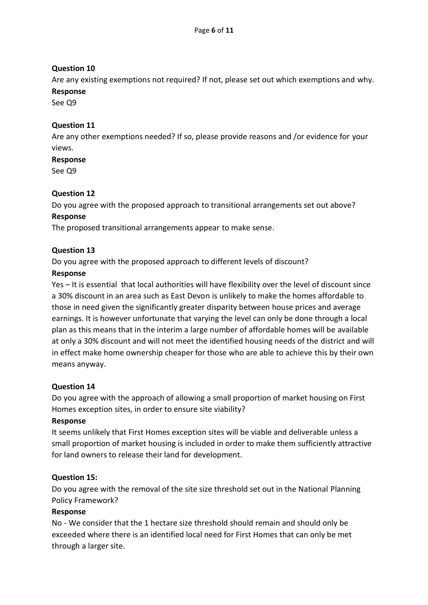# **Question 10**

Are any existing exemptions not required? If not, please set out which exemptions and why. **Response**

See Q9

## **Question 11**

Are any other exemptions needed? If so, please provide reasons and /or evidence for your views.

#### **Response**

See Q9

## **Question 12**

Do you agree with the proposed approach to transitional arrangements set out above? **Response**

The proposed transitional arrangements appear to make sense.

## **Question 13**

Do you agree with the proposed approach to different levels of discount?

## **Response**

Yes – It is essential that local authorities will have flexibility over the level of discount since a 30% discount in an area such as East Devon is unlikely to make the homes affordable to those in need given the significantly greater disparity between house prices and average earnings. It is however unfortunate that varying the level can only be done through a local plan as this means that in the interim a large number of affordable homes will be available at only a 30% discount and will not meet the identified housing needs of the district and will in effect make home ownership cheaper for those who are able to achieve this by their own means anyway.

## **Question 14**

Do you agree with the approach of allowing a small proportion of market housing on First Homes exception sites, in order to ensure site viability?

## **Response**

It seems unlikely that First Homes exception sites will be viable and deliverable unless a small proportion of market housing is included in order to make them sufficiently attractive for land owners to release their land for development.

## **Question 15:**

Do you agree with the removal of the site size threshold set out in the National Planning Policy Framework?

## **Response**

No - We consider that the 1 hectare size threshold should remain and should only be exceeded where there is an identified local need for First Homes that can only be met through a larger site.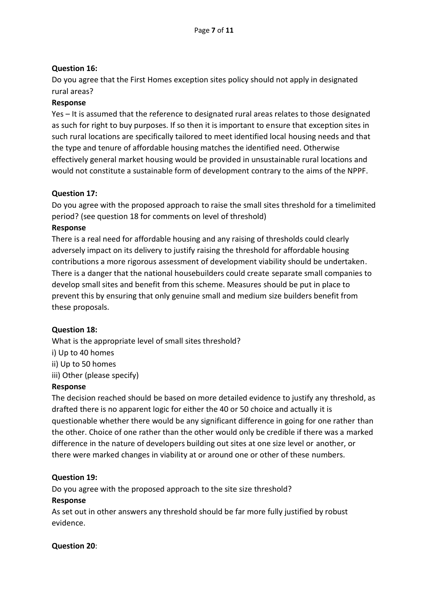# **Question 16:**

Do you agree that the First Homes exception sites policy should not apply in designated rural areas?

#### **Response**

Yes – It is assumed that the reference to designated rural areas relates to those designated as such for right to buy purposes. If so then it is important to ensure that exception sites in such rural locations are specifically tailored to meet identified local housing needs and that the type and tenure of affordable housing matches the identified need. Otherwise effectively general market housing would be provided in unsustainable rural locations and would not constitute a sustainable form of development contrary to the aims of the NPPF.

## **Question 17:**

Do you agree with the proposed approach to raise the small sites threshold for a timelimited period? (see question 18 for comments on level of threshold)

#### **Response**

There is a real need for affordable housing and any raising of thresholds could clearly adversely impact on its delivery to justify raising the threshold for affordable housing contributions a more rigorous assessment of development viability should be undertaken. There is a danger that the national housebuilders could create separate small companies to develop small sites and benefit from this scheme. Measures should be put in place to prevent this by ensuring that only genuine small and medium size builders benefit from these proposals.

## **Question 18:**

What is the appropriate level of small sites threshold? i) Up to 40 homes ii) Up to 50 homes iii) Other (please specify)

#### **Response**

The decision reached should be based on more detailed evidence to justify any threshold, as drafted there is no apparent logic for either the 40 or 50 choice and actually it is questionable whether there would be any significant difference in going for one rather than the other. Choice of one rather than the other would only be credible if there was a marked difference in the nature of developers building out sites at one size level or another, or there were marked changes in viability at or around one or other of these numbers.

## **Question 19:**

Do you agree with the proposed approach to the site size threshold?

#### **Response**

As set out in other answers any threshold should be far more fully justified by robust evidence.

#### **Question 20**: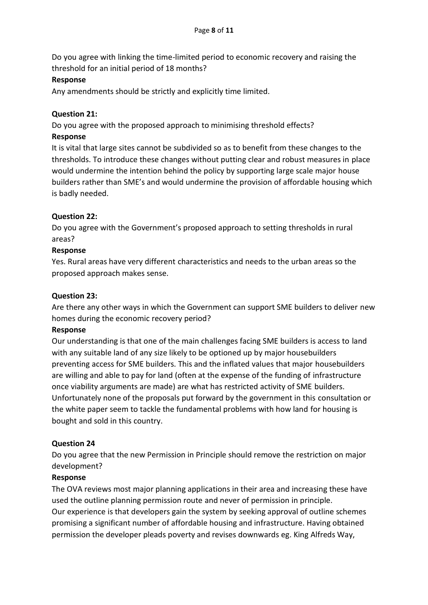Do you agree with linking the time-limited period to economic recovery and raising the threshold for an initial period of 18 months?

## **Response**

Any amendments should be strictly and explicitly time limited.

# **Question 21:**

Do you agree with the proposed approach to minimising threshold effects? **Response**

It is vital that large sites cannot be subdivided so as to benefit from these changes to the thresholds. To introduce these changes without putting clear and robust measures in place would undermine the intention behind the policy by supporting large scale major house builders rather than SME's and would undermine the provision of affordable housing which is badly needed.

## **Question 22:**

Do you agree with the Government's proposed approach to setting thresholds in rural areas?

## **Response**

Yes. Rural areas have very different characteristics and needs to the urban areas so the proposed approach makes sense.

## **Question 23:**

Are there any other ways in which the Government can support SME builders to deliver new homes during the economic recovery period?

## **Response**

Our understanding is that one of the main challenges facing SME builders is access to land with any suitable land of any size likely to be optioned up by major housebuilders preventing access for SME builders. This and the inflated values that major housebuilders are willing and able to pay for land (often at the expense of the funding of infrastructure once viability arguments are made) are what has restricted activity of SME builders. Unfortunately none of the proposals put forward by the government in this consultation or the white paper seem to tackle the fundamental problems with how land for housing is bought and sold in this country.

## **Question 24**

Do you agree that the new Permission in Principle should remove the restriction on major development?

## **Response**

The OVA reviews most major planning applications in their area and increasing these have used the outline planning permission route and never of permission in principle. Our experience is that developers gain the system by seeking approval of outline schemes promising a significant number of affordable housing and infrastructure. Having obtained permission the developer pleads poverty and revises downwards eg. King Alfreds Way,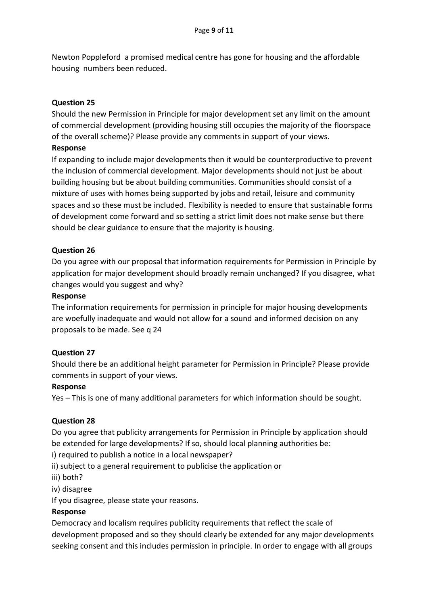Newton Poppleford a promised medical centre has gone for housing and the affordable housing numbers been reduced.

## **Question 25**

Should the new Permission in Principle for major development set any limit on the amount of commercial development (providing housing still occupies the majority of the floorspace of the overall scheme)? Please provide any comments in support of your views.

#### **Response**

If expanding to include major developments then it would be counterproductive to prevent the inclusion of commercial development. Major developments should not just be about building housing but be about building communities. Communities should consist of a mixture of uses with homes being supported by jobs and retail, leisure and community spaces and so these must be included. Flexibility is needed to ensure that sustainable forms of development come forward and so setting a strict limit does not make sense but there should be clear guidance to ensure that the majority is housing.

## **Question 26**

Do you agree with our proposal that information requirements for Permission in Principle by application for major development should broadly remain unchanged? If you disagree, what changes would you suggest and why?

#### **Response**

The information requirements for permission in principle for major housing developments are woefully inadequate and would not allow for a sound and informed decision on any proposals to be made. See q 24

#### **Question 27**

Should there be an additional height parameter for Permission in Principle? Please provide comments in support of your views.

#### **Response**

Yes – This is one of many additional parameters for which information should be sought.

## **Question 28**

Do you agree that publicity arrangements for Permission in Principle by application should be extended for large developments? If so, should local planning authorities be:

i) required to publish a notice in a local newspaper?

ii) subject to a general requirement to publicise the application or

- iii) both?
- iv) disagree

If you disagree, please state your reasons.

#### **Response**

Democracy and localism requires publicity requirements that reflect the scale of development proposed and so they should clearly be extended for any major developments seeking consent and this includes permission in principle. In order to engage with all groups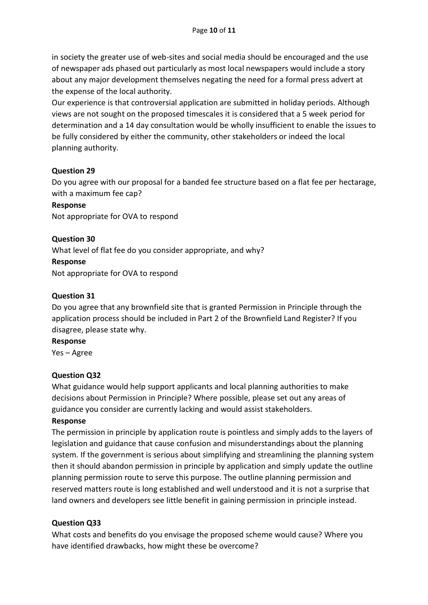in society the greater use of web-sites and social media should be encouraged and the use of newspaper ads phased out particularly as most local newspapers would include a story about any major development themselves negating the need for a formal press advert at the expense of the local authority.

Our experience is that controversial application are submitted in holiday periods. Although views are not sought on the proposed timescales it is considered that a 5 week period for determination and a 14 day consultation would be wholly insufficient to enable the issues to be fully considered by either the community, other stakeholders or indeed the local planning authority.

#### **Question 29**

Do you agree with our proposal for a banded fee structure based on a flat fee per hectarage, with a maximum fee cap?

#### **Response**

Not appropriate for OVA to respond

**Question 30** What level of flat fee do you consider appropriate, and why? **Response** Not appropriate for OVA to respond

#### **Question 31**

Do you agree that any brownfield site that is granted Permission in Principle through the application process should be included in Part 2 of the Brownfield Land Register? If you disagree, please state why.

#### **Response**

Yes – Agree

#### **Question Q32**

What guidance would help support applicants and local planning authorities to make decisions about Permission in Principle? Where possible, please set out any areas of guidance you consider are currently lacking and would assist stakeholders.

#### **Response**

The permission in principle by application route is pointless and simply adds to the layers of legislation and guidance that cause confusion and misunderstandings about the planning system. If the government is serious about simplifying and streamlining the planning system then it should abandon permission in principle by application and simply update the outline planning permission route to serve this purpose. The outline planning permission and reserved matters route is long established and well understood and it is not a surprise that land owners and developers see little benefit in gaining permission in principle instead.

## **Question Q33**

What costs and benefits do you envisage the proposed scheme would cause? Where you have identified drawbacks, how might these be overcome?